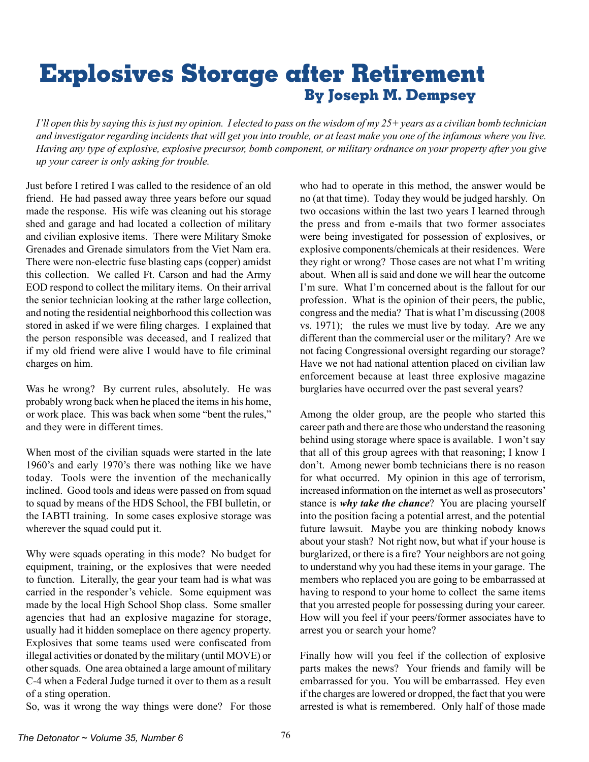## **Explosives Storage after Retirement By Joseph M. Dempsey**

*I'll open this by saying this is just my opinion. I elected to pass on the wisdom of my 25+ years as a civilian bomb technician and investigator regarding incidents that will get you into trouble, or at least make you one of the infamous where you live. Having any type of explosive, explosive precursor, bomb component, or military ordnance on your property after you give up your career is only asking for trouble.*

Just before I retired I was called to the residence of an old friend. He had passed away three years before our squad made the response. His wife was cleaning out his storage shed and garage and had located a collection of military and civilian explosive items. There were Military Smoke Grenades and Grenade simulators from the Viet Nam era. There were non-electric fuse blasting caps (copper) amidst this collection. We called Ft. Carson and had the Army EOD respond to collect the military items. On their arrival the senior technician looking at the rather large collection, and noting the residential neighborhood this collection was stored in asked if we were filing charges. I explained that the person responsible was deceased, and I realized that if my old friend were alive I would have to file criminal charges on him.

Was he wrong? By current rules, absolutely. He was probably wrong back when he placed the itemsin his home, or work place. This was back when some "bent the rules," and they were in different times.

When most of the civilian squads were started in the late 1960's and early 1970's there was nothing like we have today. Tools were the invention of the mechanically inclined. Good tools and ideas were passed on from squad to squad by means of the HDS School, the FBI bulletin, or the IABTI training. In some cases explosive storage was wherever the squad could put it.

Why were squads operating in this mode? No budget for equipment, training, or the explosives that were needed to function. Literally, the gear your team had is what was carried in the responder's vehicle. Some equipment was made by the local High School Shop class. Some smaller agencies that had an explosive magazine for storage, usually had it hidden someplace on there agency property. Explosives that some teams used were confiscated from illegal activities or donated by the military (until MOVE) or other squads. One area obtained a large amount of military C-4 when a Federal Judge turned it over to them as a result of a sting operation.

So, was it wrong the way things were done? For those

who had to operate in this method, the answer would be no (at that time). Today they would be judged harshly. On two occasions within the last two years I learned through the press and from e-mails that two former associates were being investigated for possession of explosives, or explosive components/chemicals at their residences. Were they right or wrong? Those cases are not what I'm writing about. When all is said and done we will hear the outcome I'm sure. What I'm concerned about is the fallout for our profession. What is the opinion of their peers, the public, congress and the media? That is what I'm discussing (2008 vs. 1971); the rules we must live by today. Are we any different than the commercial user or the military? Are we not facing Congressional oversight regarding our storage? Have we not had national attention placed on civilian law enforcement because at least three explosive magazine burglaries have occurred over the past several years?

Among the older group, are the people who started this career path and there are those who understand the reasoning behind using storage where space is available. I won't say that all of this group agrees with that reasoning; I know I don't. Among newer bomb technicians there is no reason for what occurred. My opinion in this age of terrorism, increased information on the internet as well as prosecutors' stance is *why take the chance*? You are placing yourself into the position facing a potential arrest, and the potential future lawsuit. Maybe you are thinking nobody knows about your stash? Not right now, but what if your house is burglarized, or there is a fire? Your neighbors are not going to understand why you had these items in your garage. The members who replaced you are going to be embarrassed at having to respond to your home to collect the same items that you arrested people for possessing during your career. How will you feel if your peers/former associates have to arrest you or search your home?

Finally how will you feel if the collection of explosive parts makes the news? Your friends and family will be embarrassed for you. You will be embarrassed. Hey even if the charges are lowered or dropped, the fact that you were arrested is what is remembered. Only half of those made